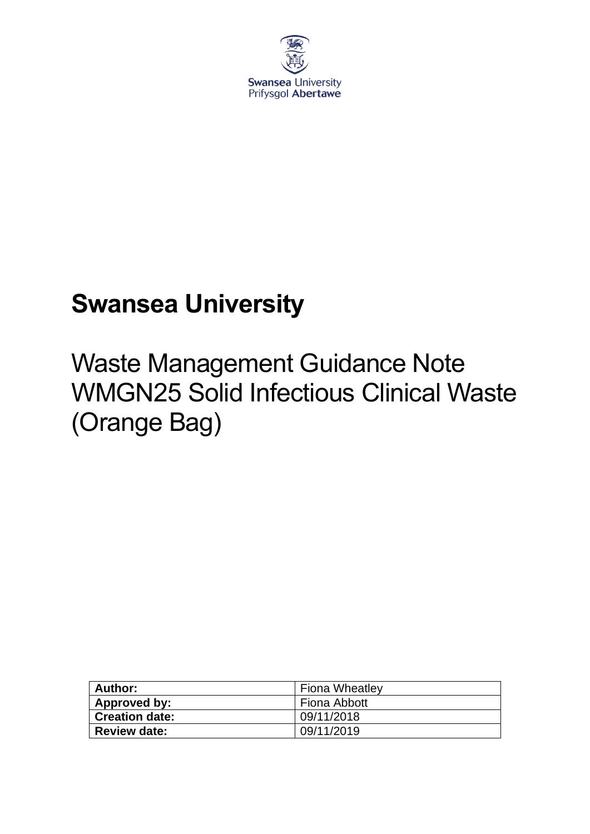

## **Swansea University**

# Waste Management Guidance Note WMGN25 Solid Infectious Clinical Waste (Orange Bag)

| Author:               | <b>Fiona Wheatley</b> |
|-----------------------|-----------------------|
| Approved by:          | Fiona Abbott          |
| <b>Creation date:</b> | 09/11/2018            |
| <b>Review date:</b>   | 09/11/2019            |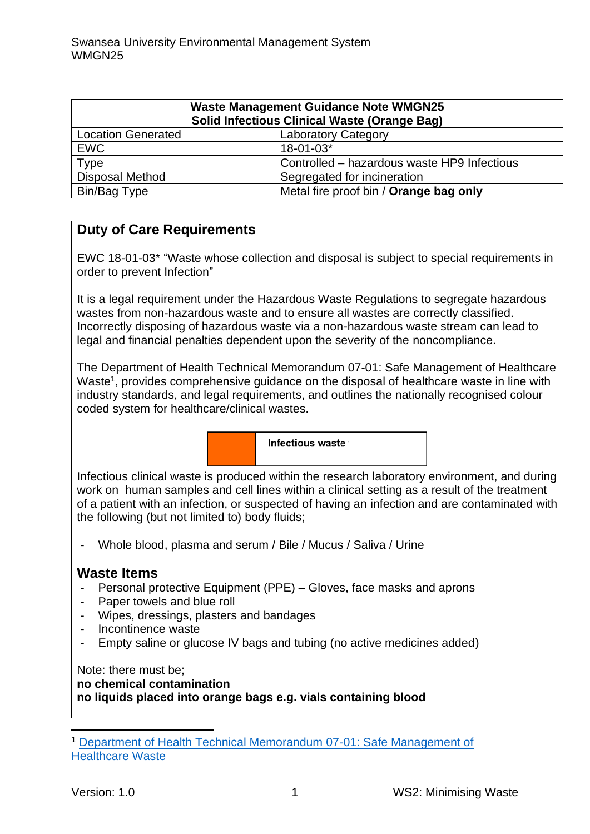| <b>Waste Management Guidance Note WMGN25</b><br><b>Solid Infectious Clinical Waste (Orange Bag)</b> |                                             |
|-----------------------------------------------------------------------------------------------------|---------------------------------------------|
| <b>Location Generated</b>                                                                           | <b>Laboratory Category</b>                  |
| <b>EWC</b>                                                                                          | 18-01-03*                                   |
| Type                                                                                                | Controlled - hazardous waste HP9 Infectious |
| <b>Disposal Method</b>                                                                              | Segregated for incineration                 |
| Bin/Bag Type                                                                                        | Metal fire proof bin / Orange bag only      |

## **Duty of Care Requirements**

EWC 18-01-03\* "Waste whose collection and disposal is subject to special requirements in order to prevent Infection"

It is a legal requirement under the Hazardous Waste Regulations to segregate hazardous wastes from non-hazardous waste and to ensure all wastes are correctly classified. Incorrectly disposing of hazardous waste via a non-hazardous waste stream can lead to legal and financial penalties dependent upon the severity of the noncompliance.

The Department of Health Technical Memorandum 07-01: Safe Management of Healthcare Waste<sup>1</sup>, provides comprehensive guidance on the disposal of healthcare waste in line with industry standards, and legal requirements, and outlines the nationally recognised colour coded system for healthcare/clinical wastes.

Infectious waste

Infectious clinical waste is produced within the research laboratory environment, and during work on human samples and cell lines within a clinical setting as a result of the treatment of a patient with an infection, or suspected of having an infection and are contaminated with the following (but not limited to) body fluids;

- Whole blood, plasma and serum / Bile / Mucus / Saliva / Urine

#### **Waste Items**

- Personal protective Equipment (PPE) Gloves, face masks and aprons
- Paper towels and blue roll
- Wipes, dressings, plasters and bandages
- Incontinence waste
- Empty saline or glucose IV bags and tubing (no active medicines added)

Note: there must be; **no chemical contamination no liquids placed into orange bags e.g. vials containing blood**

<sup>1</sup> [Department of Health Technical Memorandum 07-01: Safe Management of](https://www.gov.uk/government/publications/guidance-on-the-safe-management-of-healthcare-waste)  [Healthcare Waste](https://www.gov.uk/government/publications/guidance-on-the-safe-management-of-healthcare-waste)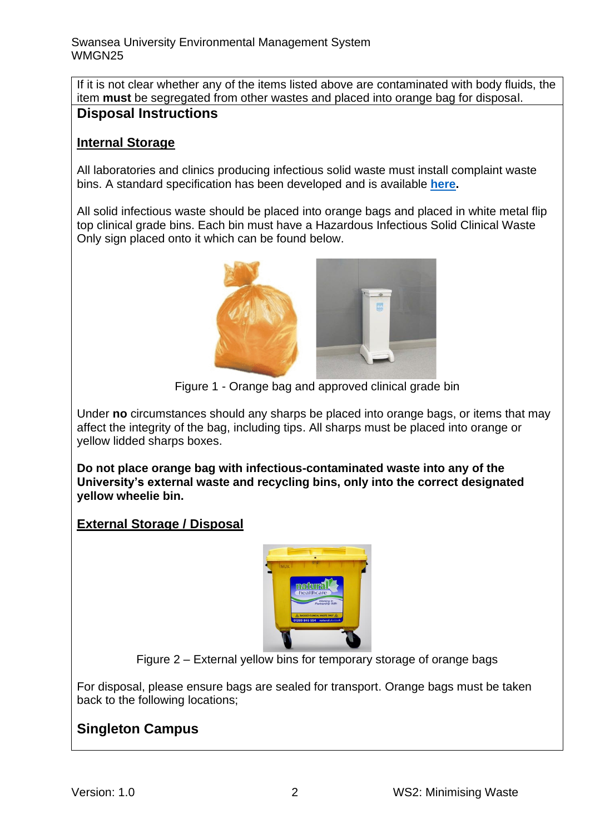If it is not clear whether any of the items listed above are contaminated with body fluids, the item **must** be segregated from other wastes and placed into orange bag for disposal. **Disposal Instructions**

### **Internal Storage**

All laboratories and clinics producing infectious solid waste must install complaint waste bins. A standard specification has been developed and is available **[here.](https://staff.swansea.ac.uk/media/compliant-chemically-contaminated-and-clinical-waste-bins.pdf)**

All solid infectious waste should be placed into orange bags and placed in white metal flip top clinical grade bins. Each bin must have a Hazardous Infectious Solid Clinical Waste Only sign placed onto it which can be found below.



Figure 1 - Orange bag and approved clinical grade bin

Under **no** circumstances should any sharps be placed into orange bags, or items that may affect the integrity of the bag, including tips. All sharps must be placed into orange or yellow lidded sharps boxes.

**Do not place orange bag with infectious-contaminated waste into any of the University's external waste and recycling bins, only into the correct designated yellow wheelie bin.** 

### **External Storage / Disposal**



Figure 2 – External yellow bins for temporary storage of orange bags

For disposal, please ensure bags are sealed for transport. Orange bags must be taken back to the following locations;

## **Singleton Campus**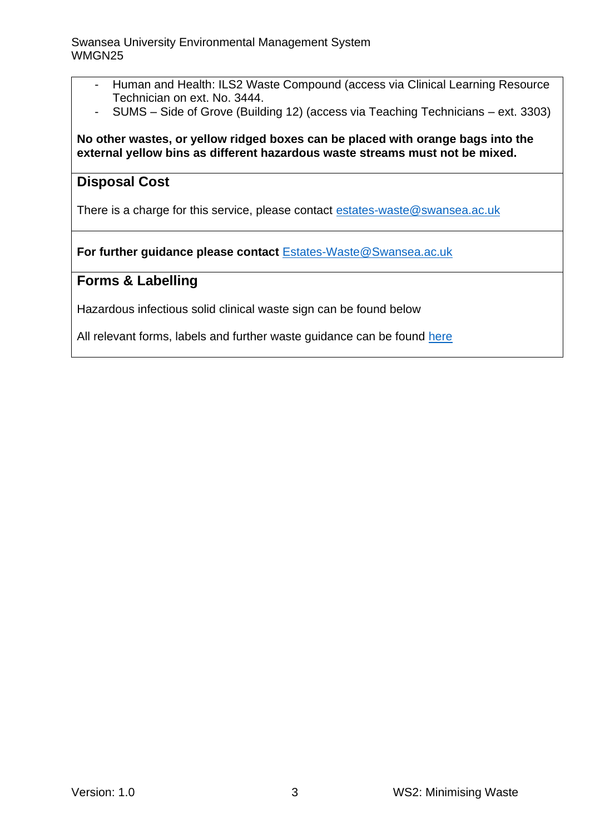- Human and Health: ILS2 Waste Compound (access via Clinical Learning Resource Technician on ext. No. 3444.
- SUMS Side of Grove (Building 12) (access via Teaching Technicians ext. 3303)

#### **No other wastes, or yellow ridged boxes can be placed with orange bags into the external yellow bins as different hazardous waste streams must not be mixed.**

### **Disposal Cost**

There is a charge for this service, please contact [estates-waste@swansea.ac.uk](mailto:estates-waste@swansea.ac.uk)

**For further guidance please contact** [Estates-Waste@Swansea.ac.uk](mailto:Estates-Waste@Swansea.ac.uk)

### **Forms & Labelling**

Hazardous infectious solid clinical waste sign can be found below

All relevant forms, labels and further waste guidance can be found [here](https://www.swansea.ac.uk/sustainability/waste/#waste-management-guidance-notes=is-expanded)